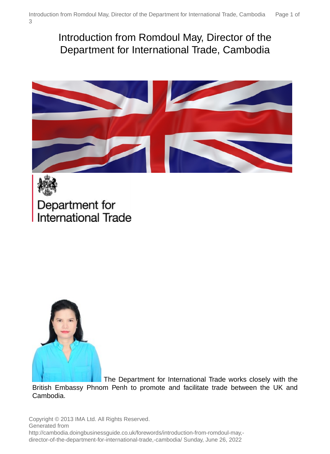# Introduction from Romdoul May, Director of the Department for International Trade, Cambodia





Department for **International Trade** 



The Department for International Trade works closely with the British Embassy Phnom Penh to promote and facilitate trade between the UK and Cambodia.

Copyright © 2013 IMA Ltd. All Rights Reserved. Generated from http://cambodia.doingbusinessguide.co.uk/forewords/introduction-from-romdoul-may, director-of-the-department-for-international-trade,-cambodia/ Sunday, June 26, 2022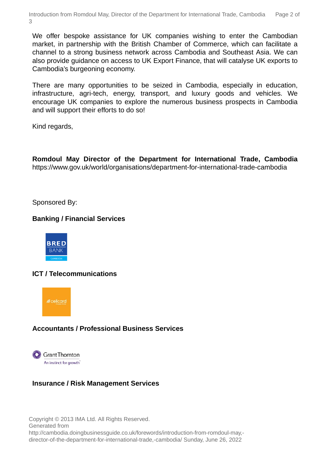We offer bespoke assistance for UK companies wishing to enter the Cambodian market, in partnership with the British Chamber of Commerce, which can facilitate a channel to a strong business network across Cambodia and Southeast Asia. We can also provide guidance on access to UK Export Finance, that will catalyse UK exports to Cambodia's burgeoning economy.

There are many opportunities to be seized in Cambodia, especially in education, infrastructure, agri-tech, energy, transport, and luxury goods and vehicles. We encourage UK companies to explore the numerous business prospects in Cambodia and will support their efforts to do so!

Kind regards,

**Romdoul May Director of the Department for International Trade, Cambodia** https://www.gov.uk/world/organisations/department-for-international-trade-cambodia

Sponsored By:

## **Banking / Financial Services**



# **ICT / Telecommunications**



# **Accountants / Professional Business Services**



### **Insurance / Risk Management Services**